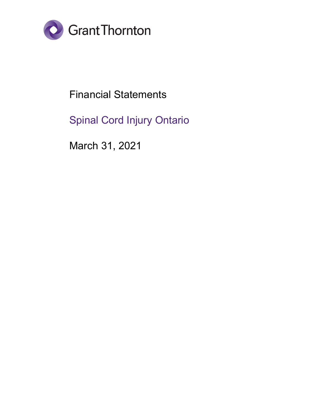

Financial Statements

Spinal Cord Injury Ontario

March 31, 2021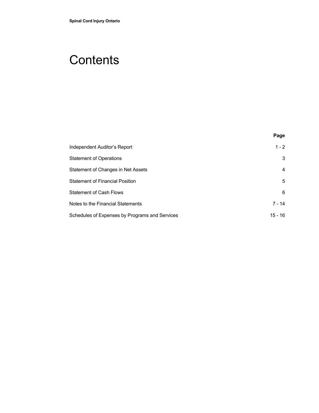# **Contents**

|                                                | Page           |
|------------------------------------------------|----------------|
| Independent Auditor's Report                   | $1 - 2$        |
| <b>Statement of Operations</b>                 | 3              |
| Statement of Changes in Net Assets             | $\overline{4}$ |
| Statement of Financial Position                | 5              |
| Statement of Cash Flows                        | 6              |
| Notes to the Financial Statements              | $7 - 14$       |
| Schedules of Expenses by Programs and Services | $15 - 16$      |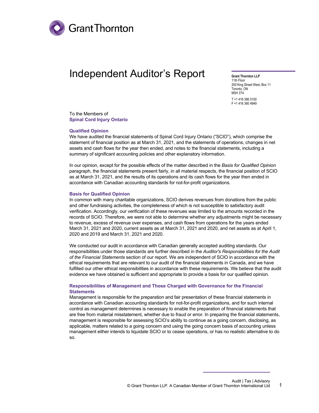

# Independent Auditor's Report

**Grant Thornton LLP** 11th Floor 200 King Street West, Box 11 Toronto, ON M5H 3T4 T +1 416 366 0100 F +1 416 360 4949

To the Members of **Spinal Cord Injury Ontario**

#### **Qualified Opinion**

We have audited the financial statements of Spinal Cord Injury Ontario ("SCIO"), which comprise the statement of financial position as at March 31, 2021, and the statements of operations, changes in net assets and cash flows for the year then ended, and notes to the financial statements, including a summary of significant accounting policies and other explanatory information.

In our opinion, except for the possible effects of the matter described in the *Basis for Qualified Opinion* paragraph, the financial statements present fairly, in all material respects, the financial position of SCIO as at March 31, 2021, and the results of its operations and its cash flows for the year then ended in accordance with Canadian accounting standards for not-for-profit organizations.

#### **Basis for Qualified Opinion**

In common with many charitable organizations, SCIO derives revenues from donations from the public and other fundraising activities, the completeness of which is not susceptible to satisfactory audit verification. Accordingly, our verification of these revenues was limited to the amounts recorded in the records of SCIO. Therefore, we were not able to determine whether any adjustments might be necessary to revenue, excess of revenue over expenses, and cash flows from operations for the years ended March 31, 2021 and 2020, current assets as at March 31, 2021 and 2020, and net assets as at April 1, 2020 and 2019 and March 31, 2021 and 2020.

We conducted our audit in accordance with Canadian generally accepted auditing standards. Our responsibilities under those standards are further described in the *Auditor's Responsibilities for the Audit of the Financial Statements* section of our report. We are independent of SCIO in accordance with the ethical requirements that are relevant to our audit of the financial statements in Canada, and we have fulfilled our other ethical responsibilities in accordance with these requirements. We believe that the audit evidence we have obtained is sufficient and appropriate to provide a basis for our qualified opinion.

#### **Responsibilities of Management and Those Charged with Governance for the Financial Statements**

Management is responsible for the preparation and fair presentation of these financial statements in accordance with Canadian accounting standards for not-for-profit organizations, and for such internal control as management determines is necessary to enable the preparation of financial statements that are free from material misstatement, whether due to fraud or error. In preparing the financial statements, management is responsible for assessing SCIO's ability to continue as a going concern, disclosing, as applicable, matters related to a going concern and using the going concern basis of accounting unless management either intends to liquidate SCIO or to cease operations, or has no realistic alternative to do so.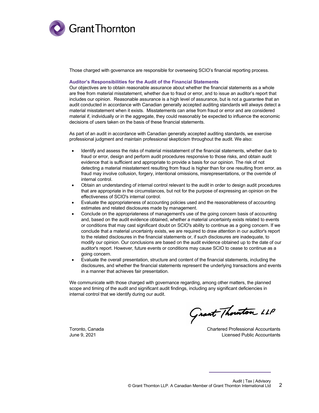

Those charged with governance are responsible for overseeing SCIO's financial reporting process.

#### **Auditor's Responsibilities for the Audit of the Financial Statements**

Our objectives are to obtain reasonable assurance about whether the financial statements as a whole are free from material misstatement, whether due to fraud or error, and to issue an auditor's report that includes our opinion. Reasonable assurance is a high level of assurance, but is not a guarantee that an audit conducted in accordance with Canadian generally accepted auditing standards will always detect a material misstatement when it exists. Misstatements can arise from fraud or error and are considered material if, individually or in the aggregate, they could reasonably be expected to influence the economic decisions of users taken on the basis of these financial statements.

As part of an audit in accordance with Canadian generally accepted auditing standards, we exercise professional judgment and maintain professional skepticism throughout the audit. We also:

- Identify and assess the risks of material misstatement of the financial statements, whether due to fraud or error, design and perform audit procedures responsive to those risks, and obtain audit evidence that is sufficient and appropriate to provide a basis for our opinion. The risk of not detecting a material misstatement resulting from fraud is higher than for one resulting from error, as fraud may involve collusion, forgery, intentional omissions, misrepresentations, or the override of internal control.
- Obtain an understanding of internal control relevant to the audit in order to design audit procedures that are appropriate in the circumstances, but not for the purpose of expressing an opinion on the effectiveness of SCIO's internal control.
- Evaluate the appropriateness of accounting policies used and the reasonableness of accounting estimates and related disclosures made by management.
- Conclude on the appropriateness of management's use of the going concern basis of accounting and, based on the audit evidence obtained, whether a material uncertainty exists related to events or conditions that may cast significant doubt on SCIO's ability to continue as a going concern. If we conclude that a material uncertainty exists, we are required to draw attention in our auditor's report to the related disclosures in the financial statements or, if such disclosures are inadequate, to modify our opinion. Our conclusions are based on the audit evidence obtained up to the date of our auditor's report. However, future events or conditions may cause SCIO to cease to continue as a going concern.
- Evaluate the overall presentation, structure and content of the financial statements, including the disclosures, and whether the financial statements represent the underlying transactions and events in a manner that achieves fair presentation.

We communicate with those charged with governance regarding, among other matters, the planned scope and timing of the audit and significant audit findings, including any significant deficiencies in internal control that we identify during our audit.

Grant Thouston LLP

Toronto, Canada Chartered Professional Accountants June 9, 2021 Licensed Public Accountants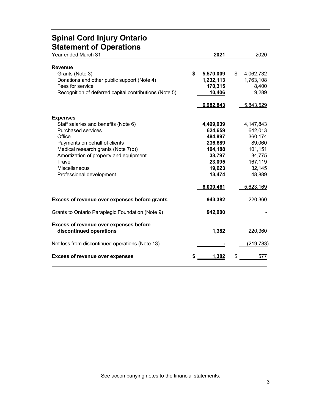### **Spinal Cord Injury Ontario Statement of Operations**

| Year ended March 31                                                                                                                                                                                                                                                     | 2021                                                                                          | 2020                                                                                          |
|-------------------------------------------------------------------------------------------------------------------------------------------------------------------------------------------------------------------------------------------------------------------------|-----------------------------------------------------------------------------------------------|-----------------------------------------------------------------------------------------------|
| <b>Revenue</b><br>Grants (Note 3)<br>Donations and other public support (Note 4)<br>Fees for service<br>Recognition of deferred capital contributions (Note 5)                                                                                                          | \$<br>5,570,009<br>1,232,113<br>170,315<br>10,406<br>6,982,843                                | \$<br>4,062,732<br>1,763,108<br>8,400<br>9,289<br>5,843,529                                   |
| <b>Expenses</b><br>Staff salaries and benefits (Note 6)<br><b>Purchased services</b><br>Office<br>Payments on behalf of clients<br>Medical research grants (Note 7(b))<br>Amortization of property and equipment<br>Travel<br>Miscellaneous<br>Professional development | 4,499,039<br>624,659<br>484,897<br>236,689<br>104,188<br>33,797<br>23,095<br>19,623<br>13,474 | 4,147,843<br>642,013<br>360,174<br>89,060<br>101,151<br>34,775<br>167,119<br>32,145<br>48,889 |
| Excess of revenue over expenses before grants                                                                                                                                                                                                                           | 6,039,461<br>943,382                                                                          | 5,623,169<br>220,360                                                                          |
| Grants to Ontario Paraplegic Foundation (Note 9)                                                                                                                                                                                                                        | 942,000                                                                                       |                                                                                               |
| Excess of revenue over expenses before<br>discontinued operations                                                                                                                                                                                                       | 1,382                                                                                         | 220,360                                                                                       |
| Net loss from discontinued operations (Note 13)                                                                                                                                                                                                                         |                                                                                               | (219, 783)                                                                                    |
| <b>Excess of revenue over expenses</b>                                                                                                                                                                                                                                  | 1,382                                                                                         | 577                                                                                           |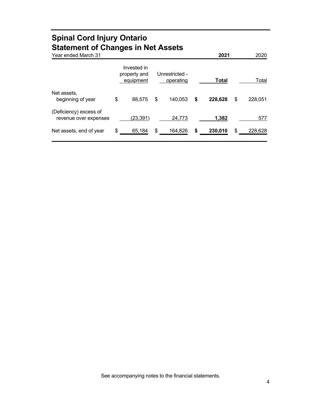### **Spinal Cord Injury Ontario Statement of Changes in Net Assets**

| Year ended March 31                             |                                          |                             | 2021          | 2020          |
|-------------------------------------------------|------------------------------------------|-----------------------------|---------------|---------------|
|                                                 | Invested in<br>property and<br>equipment | Unrestricted -<br>operating | <b>Total</b>  | Total         |
| Net assets.<br>beginning of year                | \$<br>88,575                             | \$<br>140,053               | \$<br>228,628 | \$<br>228,051 |
| (Deficiency) excess of<br>revenue over expenses | (23,391)                                 | 24,773                      | 1,382         | 577           |
| Net assets, end of year                         | \$<br>65,184                             | \$<br>164,826               | \$<br>230,010 | \$<br>228,628 |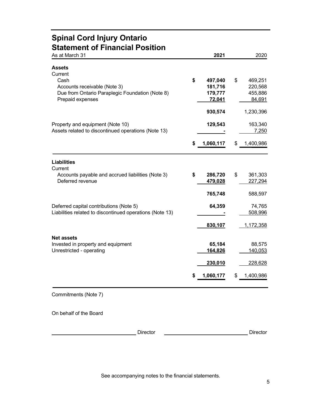### **Spinal Cord Injury Ontario Statement of Financial Position**

| As at March 31                                           | 2021            | 2020            |
|----------------------------------------------------------|-----------------|-----------------|
| <b>Assets</b><br>Current                                 |                 |                 |
| Cash                                                     | \$<br>497,040   | \$<br>469,251   |
| Accounts receivable (Note 3)                             | 181,716         | 220,568         |
| Due from Ontario Paraplegic Foundation (Note 8)          | 179,777         | 455,886         |
| Prepaid expenses                                         | <u>72,041</u>   | 84,691          |
|                                                          | 930,574         | 1,230,396       |
| Property and equipment (Note 10)                         | 129,543         | 163,340         |
| Assets related to discontinued operations (Note 13)      |                 | 7,250           |
|                                                          | \$<br>1,060,117 | \$<br>1,400,986 |
| <b>Liabilities</b>                                       |                 |                 |
| Current                                                  |                 |                 |
| Accounts payable and accrued liabilities (Note 3)        | \$<br>286,720   | \$<br>361,303   |
| Deferred revenue                                         | 479,028         | 227,294         |
|                                                          | 765,748         | 588,597         |
| Deferred capital contributions (Note 5)                  | 64,359          | 74,765          |
| Liabilities related to discontinued operations (Note 13) |                 | 508,996         |
|                                                          | 830,107         | 1,172,358       |
| <b>Net assets</b>                                        |                 |                 |
| Invested in property and equipment                       | 65,184          | 88,575          |
| Unrestricted - operating                                 | 164,826         | 140,053         |
|                                                          | 230,010         | 228,628         |
|                                                          | 1,060,177       | \$<br>1,400,986 |
|                                                          |                 |                 |

Commitments (Note 7)

On behalf of the Board

 $\mathcal{A}\ell\mathcal{A} \supseteq \mathcal{A}$   $\ell\mathcal{A}$   $\mathcal{A}\ell\mathcal{A}$   $\mathcal{A}\ell\mathcal{A}$   $\mathcal{A}\ell\mathcal{A}$  Director

Alex McKinnon **Treasurer** 

Bob Nigol Chair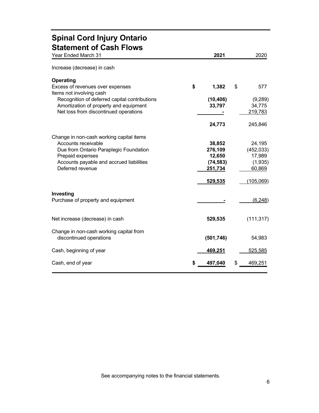### **Spinal Cord Injury Ontario Statement of Cash Flows**

| Year Ended March 31                                                                                                                                                                           | 2021                                                | 2020                                                |
|-----------------------------------------------------------------------------------------------------------------------------------------------------------------------------------------------|-----------------------------------------------------|-----------------------------------------------------|
| Increase (decrease) in cash                                                                                                                                                                   |                                                     |                                                     |
| Operating<br>Excess of revenues over expenses<br>Items not involving cash                                                                                                                     | \$<br>1,382                                         | \$<br>577                                           |
| Recognition of deferred capital contributions<br>Amortization of property and equipment<br>Net loss from discontinued operations                                                              | (10, 406)<br>33,797                                 | (9, 289)<br>34,775<br>219,783                       |
|                                                                                                                                                                                               | 24,773                                              | 245,846                                             |
| Change in non-cash working capital items<br>Accounts receivable<br>Due from Ontario Paraplegic Foundation<br>Prepaid expenses<br>Accounts payable and accrued liabilities<br>Deferred revenue | 38,852<br>276,109<br>12,650<br>(74, 583)<br>251,734 | 24,195<br>(452, 033)<br>17,989<br>(1,935)<br>60,869 |
|                                                                                                                                                                                               | 529,535                                             | (105,069)                                           |
| Investing<br>Purchase of property and equipment                                                                                                                                               |                                                     | (6, 248)                                            |
| Net increase (decrease) in cash                                                                                                                                                               | 529,535                                             | (111, 317)                                          |
| Change in non-cash working capital from<br>discontinued operations                                                                                                                            | (501, 746)                                          | 54,983                                              |
| Cash, beginning of year                                                                                                                                                                       | 469,251                                             | 525,585                                             |
| Cash, end of year                                                                                                                                                                             | 497,040                                             | \$<br>469,251                                       |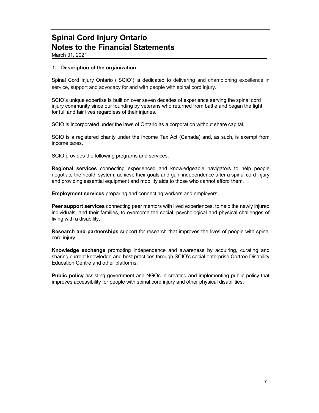March 31, 2021

### **1. Description of the organization**

Spinal Cord Injury Ontario ("SCIO") is dedicated to delivering and championing excellence in service, support and advocacy for and with people with spinal cord injury.

SCIO's unique expertise is built on over seven decades of experience serving the spinal cord injury community since our founding by veterans who returned from battle and began the fight for full and fair lives regardless of their injuries.

SCIO is incorporated under the laws of Ontario as a corporation without share capital.

SCIO is a registered charity under the Income Tax Act (Canada) and, as such, is exempt from income taxes.

SCIO provides the following programs and services:

**Regional services** connecting experienced and knowledgeable navigators to help people negotiate the health system, achieve their goals and gain independence after a spinal cord injury and providing essential equipment and mobility aids to those who cannot afford them.

**Employment services** preparing and connecting workers and employers.

**Peer support services** connecting peer mentors with lived experiences, to help the newly injured individuals, and their families, to overcome the social, psychological and physical challenges of living with a disability.

**Research and partnerships** support for research that improves the lives of people with spinal cord injury.

**Knowledge exchange** promoting independence and awareness by acquiring, curating and sharing current knowledge and best practices through SCIO's social enterprise Cortree Disability Education Centre and other platforms.

**Public policy** assisting government and NGOs in creating and implementing public policy that improves accessibility for people with spinal cord injury and other physical disabilities.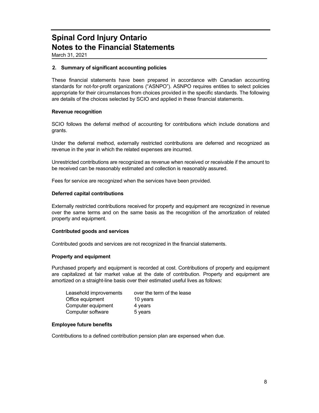March 31, 2021

### **2. Summary of significant accounting policies**

These financial statements have been prepared in accordance with Canadian accounting standards for not-for-profit organizations ("ASNPO"). ASNPO requires entities to select policies appropriate for their circumstances from choices provided in the specific standards. The following are details of the choices selected by SCIO and applied in these financial statements.

### **Revenue recognition**

SCIO follows the deferral method of accounting for contributions which include donations and grants.

Under the deferral method, externally restricted contributions are deferred and recognized as revenue in the year in which the related expenses are incurred.

Unrestricted contributions are recognized as revenue when received or receivable if the amount to be received can be reasonably estimated and collection is reasonably assured.

Fees for service are recognized when the services have been provided.

#### **Deferred capital contributions**

Externally restricted contributions received for property and equipment are recognized in revenue over the same terms and on the same basis as the recognition of the amortization of related property and equipment.

### **Contributed goods and services**

Contributed goods and services are not recognized in the financial statements.

### **Property and equipment**

Purchased property and equipment is recorded at cost. Contributions of property and equipment are capitalized at fair market value at the date of contribution. Property and equipment are amortized on a straight-line basis over their estimated useful lives as follows:

| Leasehold improvements | over the term of the lease |
|------------------------|----------------------------|
| Office equipment       | 10 years                   |
| Computer equipment     | 4 years                    |
| Computer software      | 5 years                    |

### **Employee future benefits**

Contributions to a defined contribution pension plan are expensed when due.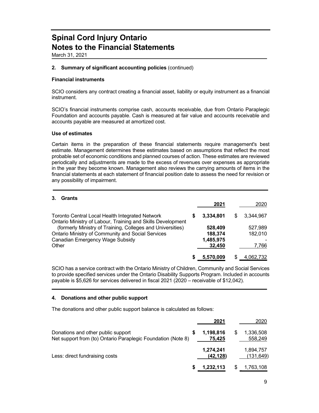March 31, 2021

#### **2. Summary of significant accounting policies** (continued)

#### **Financial instruments**

SCIO considers any contract creating a financial asset, liability or equity instrument as a financial instrument.

SCIO's financial instruments comprise cash, accounts receivable, due from Ontario Paraplegic Foundation and accounts payable. Cash is measured at fair value and accounts receivable and accounts payable are measured at amortized cost.

#### **Use of estimates**

Certain items in the preparation of these financial statements require management's best estimate. Management determines these estimates based on assumptions that reflect the most probable set of economic conditions and planned courses of action. These estimates are reviewed periodically and adjustments are made to the excess of revenues over expenses as appropriate in the year they become known. Management also reviews the carrying amounts of items in the financial statements at each statement of financial position date to assess the need for revision or any possibility of impairment.

### **3. Grants**

| J. UIAIILS                                                                                                                                                                                                                        | 2021                                      | 2020                        |
|-----------------------------------------------------------------------------------------------------------------------------------------------------------------------------------------------------------------------------------|-------------------------------------------|-----------------------------|
| Toronto Central Local Health Integrated Network                                                                                                                                                                                   | 3.334.801                                 | 3.344.967                   |
| Ontario Ministry of Labour, Training and Skills Development<br>(formerly Ministry of Training, Colleges and Universities)<br><b>Ontario Ministry of Community and Social Services</b><br>Canadian Emergency Wage Subsidy<br>Other | 528,409<br>188,374<br>1,485,975<br>32.450 | 527,989<br>182,010<br>7,766 |
|                                                                                                                                                                                                                                   | 5,570,009                                 | 4,062,732                   |

SCIO has a service contract with the Ontario Ministry of Children, Community and Social Services to provide specified services under the Ontario Disability Supports Program. Included in accounts payable is \$5,626 for services delivered in fiscal 2021 (2020 – receivable of \$12,042).

#### **4. Donations and other public support**

The donations and other public support balance is calculated as follows:

|                                                                                                    | 2021                   |   | 2020                   |
|----------------------------------------------------------------------------------------------------|------------------------|---|------------------------|
| Donations and other public support<br>Net support from (to) Ontario Paraplegic Foundation (Note 8) | 1,198,816<br>75.425    | S | 1,336,508<br>558,249   |
| Less: direct fundraising costs                                                                     | 1,274,241<br>(42, 128) |   | 1,894,757<br>(131,649) |
|                                                                                                    | 1,232,113              |   | 1,763,108              |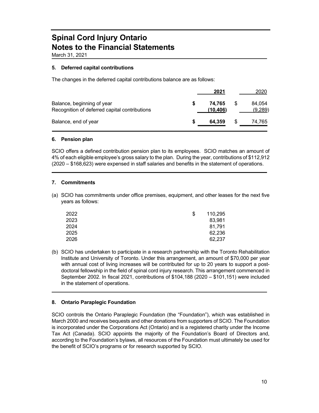March 31, 2021

### **5. Deferred capital contributions**

The changes in the deferred capital contributions balance are as follows:

|                                                                             |   | 2021                | 2020              |
|-----------------------------------------------------------------------------|---|---------------------|-------------------|
| Balance, beginning of year<br>Recognition of deferred capital contributions |   | 74.765<br>(10, 406) | 84,054<br>(9,289) |
| Balance, end of year                                                        | S | 64.359              | 74,765            |

### **6. Pension plan**

SCIO offers a defined contribution pension plan to its employees. SCIO matches an amount of 4% of each eligible employee's gross salary to the plan. During the year, contributions of \$112,912 (2020 – \$168,623) were expensed in staff salaries and benefits in the statement of operations.

### **7. Commitments**

(a) SCIO has commitments under office premises, equipment, and other leases for the next five years as follows:

| 2022 | S | 110,295 |
|------|---|---------|
| 2023 |   | 83,981  |
| 2024 |   | 81.791  |
| 2025 |   | 62,236  |
| 2026 |   | 62,237  |

(b) SCIO has undertaken to participate in a research partnership with the Toronto Rehabilitation Institute and University of Toronto. Under this arrangement, an amount of \$70,000 per year with annual cost of living increases will be contributed for up to 20 years to support a postdoctoral fellowship in the field of spinal cord injury research. This arrangement commenced in September 2002. In fiscal 2021, contributions of \$104,188 (2020 – \$101,151) were included in the statement of operations.

### **8. Ontario Paraplegic Foundation**

SCIO controls the Ontario Paraplegic Foundation (the "Foundation"), which was established in March 2000 and receives bequests and other donations from supporters of SCIO. The Foundation is incorporated under the Corporations Act (Ontario) and is a registered charity under the Income Tax Act (Canada). SCIO appoints the majority of the Foundation's Board of Directors and, according to the Foundation's bylaws, all resources of the Foundation must ultimately be used for the benefit of SCIO's programs or for research supported by SCIO.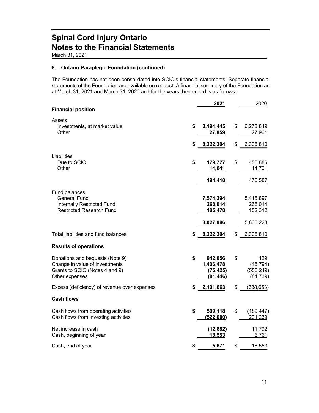March 31, 2021

### **8. Ontario Paraplegic Foundation (continued)**

The Foundation has not been consolidated into SCIO's financial statements. Separate financial statements of the Foundation are available on request. A financial summary of the Foundation as at March 31, 2021 and March 31, 2020 and for the years then ended is as follows:

|                                                                                                                       |    | 2021                                           | 2020                                              |
|-----------------------------------------------------------------------------------------------------------------------|----|------------------------------------------------|---------------------------------------------------|
| <b>Financial position</b>                                                                                             |    |                                                |                                                   |
| Assets<br>Investments, at market value<br>Other                                                                       | \$ | 8,194,445<br>27,859                            | \$<br>6,278,849<br>27,961                         |
|                                                                                                                       | \$ | 8,222,304                                      | \$<br>6,306,810                                   |
| Liabilities<br>Due to SCIO<br>Other                                                                                   | \$ | 179,777<br>14,641                              | \$<br>455,886<br>14,701                           |
|                                                                                                                       |    | 194,418                                        | 470,587                                           |
| Fund balances<br><b>General Fund</b><br><b>Internally Restricted Fund</b><br><b>Restricted Research Fund</b>          |    | 7,574,394<br>268,014<br>185,478                | 5,415,897<br>268,014<br>152,312                   |
|                                                                                                                       |    | 8,027,886                                      | 5,836,223                                         |
| Total liabilities and fund balances                                                                                   | S  | 8,222,304                                      | \$<br>6,306,810                                   |
| <b>Results of operations</b>                                                                                          |    |                                                |                                                   |
| Donations and bequests (Note 9)<br>Change in value of investments<br>Grants to SCIO (Notes 4 and 9)<br>Other expenses | \$ | 942,056<br>1,406,478<br>(75, 425)<br>(81, 446) | \$<br>129<br>(45, 794)<br>(558, 249)<br>(84, 739) |
| Excess (deficiency) of revenue over expenses                                                                          | \$ | 2,191,663                                      | \$<br>(688, 653)                                  |
| <b>Cash flows</b>                                                                                                     |    |                                                |                                                   |
| Cash flows from operating activities<br>Cash flows from investing activities                                          | \$ | 509,118<br>(522,000)                           | \$<br>(189, 447)<br>201,239                       |
| Net increase in cash<br>Cash, beginning of year                                                                       |    | (12, 882)<br>18,553                            | 11,792<br>6,761                                   |
| Cash, end of year                                                                                                     |    | 5,671                                          | \$<br>18,553                                      |
|                                                                                                                       |    |                                                |                                                   |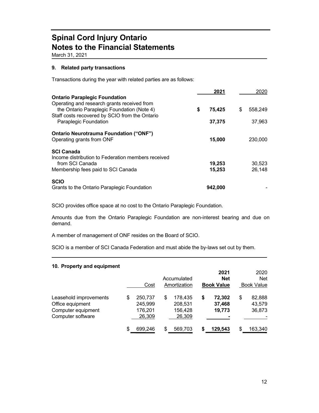March 31, 2021

### **9. Related party transactions**

Transactions during the year with related parties are as follows:

|                                                                                              | 2021         | 2020          |
|----------------------------------------------------------------------------------------------|--------------|---------------|
| <b>Ontario Paraplegic Foundation</b><br>Operating and research grants received from          |              |               |
| the Ontario Paraplegic Foundation (Note 4)<br>Staff costs recovered by SCIO from the Ontario | \$<br>75,425 | \$<br>558,249 |
| Paraplegic Foundation                                                                        | 37,375       | 37,963        |
| <b>Ontario Neurotrauma Foundation ("ONF")</b><br>Operating grants from ONF                   | 15,000       | 230,000       |
| <b>SCI Canada</b>                                                                            |              |               |
| Income distribution to Federation members received<br>from SCI Canada                        | 19,253       | 30,523        |
| Membership fees paid to SCI Canada                                                           | 15,253       | 26,148        |
| <b>SCIO</b>                                                                                  |              |               |
| Grants to the Ontario Paraplegic Foundation                                                  | 942,000      |               |

SCIO provides office space at no cost to the Ontario Paraplegic Foundation.

Amounts due from the Ontario Paraplegic Foundation are non-interest bearing and due on demand.

A member of management of ONF resides on the Board of SCIO.

SCIO is a member of SCI Canada Federation and must abide the by-laws set out by them.

### **10. Property and equipment**

|                                                                                       |    | Cost                                    |    | Accumulated<br>Amortization             |    | 2021<br><b>Net</b><br><b>Book Value</b> |    | 2020<br>Net<br><b>Book Value</b> |
|---------------------------------------------------------------------------------------|----|-----------------------------------------|----|-----------------------------------------|----|-----------------------------------------|----|----------------------------------|
| Leasehold improvements<br>Office equipment<br>Computer equipment<br>Computer software | \$ | 250,737<br>245,999<br>176,201<br>26,309 | S  | 178,435<br>208,531<br>156,428<br>26,309 | \$ | 72,302<br>37,468<br>19,773              | \$ | 82,888<br>43,579<br>36,873       |
|                                                                                       | \$ | 699.246                                 | S. | 569,703                                 | S  | 129,543                                 | S  | 163,340                          |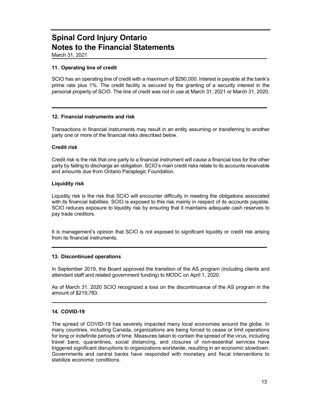March 31, 2021

### **11. Operating line of credit**

SCIO has an operating line of credit with a maximum of \$290,000. Interest is payable at the bank's prime rate plus 1%. The credit facility is secured by the granting of a security interest in the personal property of SCIO. The line of credit was not in use at March 31, 2021 or March 31, 2020.

### **12. Financial instruments and risk**

Transactions in financial instruments may result in an entity assuming or transferring to another party one or more of the financial risks described below.

### **Credit risk**

Credit risk is the risk that one party to a financial instrument will cause a financial loss for the other party by failing to discharge an obligation. SCIO's main credit risks relate to its accounts receivable and amounts due from Ontario Paraplegic Foundation.

### **Liquidity risk**

Liquidity risk is the risk that SCIO will encounter difficulty in meeting the obligations associated with its financial liabilities. SCIO is exposed to this risk mainly in respect of its accounts payable. SCIO reduces exposure to liquidity risk by ensuring that it maintains adequate cash reserves to pay trade creditors.

It is management's opinion that SCIO is not exposed to significant liquidity or credit risk arising from its financial instruments.

### **13. Discontinued operations**

In September 2019, the Board approved the transition of the AS program (including clients and attendant staff and related government funding) to MODC on April 1, 2020.

As of March 31, 2020 SCIO recognized a loss on the discontinuance of the AS program in the amount of \$219,783.

### **14. COVID-19**

The spread of COVID-19 has severely impacted many local economies around the globe. In many countries, including Canada, organizations are being forced to cease or limit operations for long or indefinite periods of time. Measures taken to contain the spread of the virus, including travel bans, quarantines, social distancing, and closures of non-essential services have triggered significant disruptions to organizations worldwide, resulting in an economic slowdown. Governments and central banks have responded with monetary and fiscal interventions to stabilize economic conditions.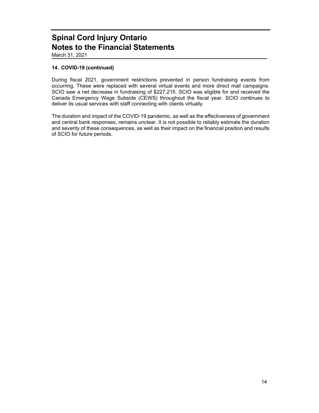March 31, 2021

### **14. COVID-19 (continued)**

During fiscal 2021, government restrictions prevented in person fundraising events from occurring. These were replaced with several virtual events and more direct mail campaigns. SCIO saw a net decrease in fundraising of \$227,215. SCIO was eligible for and received the Canada Emergency Wage Subside (CEWS) throughout the fiscal year. SCIO continues to deliver its usual services with staff connecting with clients virtually.

The duration and impact of the COVID-19 pandemic, as well as the effectiveness of government and central bank responses, remains unclear. It is not possible to reliably estimate the duration and severity of these consequences, as well as their impact on the financial position and results of SCIO for future periods.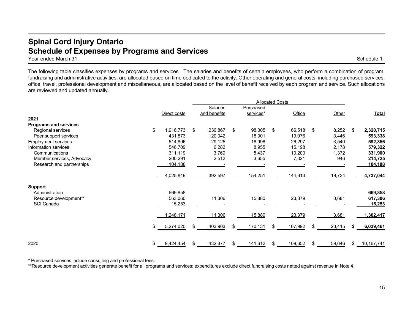### **Spinal Cord Injury Ontario Schedule of Expenses by Programs and Services**

Year ended March 31 Schedule 1

The following table classifies expenses by programs and services. The salaries and benefits of certain employees, who perform a combination of program, fundraising and administrative activities, are allocated based on time dedicated to the activity. Other operating and general costs, including purchased services, office, travel, professional development and miscellaneous, are allocated based on the level of benefit received by each program and service. Such allocations are reviewed and updated annually.

|                              |                 | <b>Allocated Costs</b> |                 |     |           |     |         |    |        |      |              |
|------------------------------|-----------------|------------------------|-----------------|-----|-----------|-----|---------|----|--------|------|--------------|
|                              |                 |                        | <b>Salaries</b> |     | Purchased |     |         |    |        |      |              |
|                              | Direct costs    |                        | and benefits    |     | services* |     | Office  |    | Other  |      | <b>Total</b> |
| 2021                         |                 |                        |                 |     |           |     |         |    |        |      |              |
| <b>Programs and services</b> |                 |                        |                 |     |           |     |         |    |        |      |              |
| Regional services            | \$<br>1,916,773 | \$                     | 230,867         | \$  | 98,305    | \$  | 66,518  | \$ | 8,252  | - \$ | 2,320,715    |
| Peer support services        | 431,873         |                        | 120,042         |     | 18,901    |     | 19,076  |    | 3,446  |      | 593,338      |
| <b>Employment services</b>   | 514,896         |                        | 29,125          |     | 18,998    |     | 26,297  |    | 3,540  |      | 592,856      |
| Information services         | 546,709         |                        | 6,282           |     | 8,955     |     | 15,198  |    | 2,178  |      | 579,322      |
| Communications               | 311,119         |                        | 3,769           |     | 5,437     |     | 10,203  |    | 1,372  |      | 331,900      |
| Member services, Advocacy    | 200,291         |                        | 2,512           |     | 3,655     |     | 7,321   |    | 946    |      | 214,725      |
| Research and partnerships    | 104,188         |                        |                 |     |           |     |         |    |        |      | 104,188      |
|                              | 4,025,849       |                        | 392,597         |     | 154,251   |     | 144,613 |    | 19,734 |      | 4,737,044    |
| <b>Support</b>               |                 |                        |                 |     |           |     |         |    |        |      |              |
| Administration               | 669,858         |                        |                 |     |           |     |         |    |        |      | 669,858      |
| Resource development**       | 563,060         |                        | 11,306          |     | 15,880    |     | 23,379  |    | 3,681  |      | 617,306      |
| SCI Canada                   | 15,253          |                        |                 |     |           |     |         |    |        |      | 15,253       |
|                              | 1,248,171       |                        | 11,306          |     | 15,880    |     | 23,379  |    | 3,681  |      | 1,302,417    |
|                              | \$<br>5,274,020 | \$.                    | 403,903         | \$. | 170,131   | \$. | 167,992 | \$ | 23,415 |      | 6,039,461    |
| 2020                         | \$<br>9,424,454 | \$                     | 432,377         | \$  | 141,612   | \$  | 109,652 | \$ | 59,646 | \$.  | 10,167,741   |

**\*** Purchased services include consulting and professional fees.

\*\*Resource development activities generate benefit for all programs and services; expenditures exclude direct fundraising costs netted against revenue in Note 4.